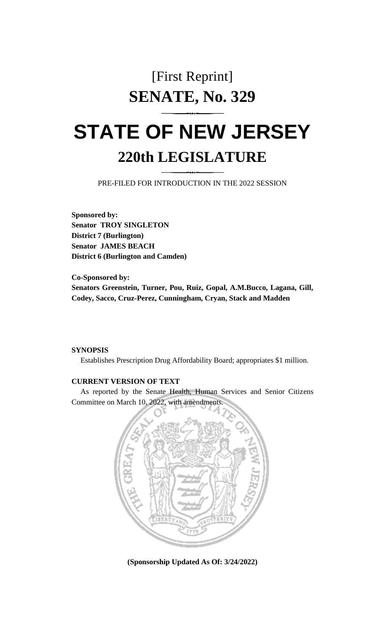# [First Reprint] **SENATE, No. 329**

# **STATE OF NEW JERSEY 220th LEGISLATURE**

PRE-FILED FOR INTRODUCTION IN THE 2022 SESSION

**Sponsored by: Senator TROY SINGLETON District 7 (Burlington) Senator JAMES BEACH District 6 (Burlington and Camden)**

**Co-Sponsored by: Senators Greenstein, Turner, Pou, Ruiz, Gopal, A.M.Bucco, Lagana, Gill, Codey, Sacco, Cruz-Perez, Cunningham, Cryan, Stack and Madden**

### **SYNOPSIS**

Establishes Prescription Drug Affordability Board; appropriates \$1 million.

## **CURRENT VERSION OF TEXT**

As reported by the Senate Health, Human Services and Senior Citizens Committee on March 10, 2022, with amendments.



**(Sponsorship Updated As Of: 3/24/2022)**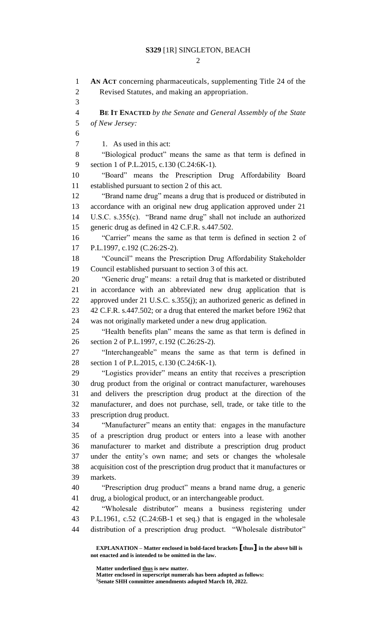$\mathcal{D}_{\mathcal{L}}$ 

**EXPLANATION – Matter enclosed in bold-faced brackets [thus] in the above bill is AN ACT** concerning pharmaceuticals, supplementing Title 24 of the Revised Statutes, and making an appropriation. **BE IT ENACTED** *by the Senate and General Assembly of the State of New Jersey:* 7 1. As used in this act: "Biological product" means the same as that term is defined in section 1 of P.L.2015, c.130 (C.24:6K-1). "Board" means the Prescription Drug Affordability Board established pursuant to section 2 of this act. "Brand name drug" means a drug that is produced or distributed in accordance with an original new drug application approved under 21 U.S.C. s.355(c). "Brand name drug" shall not include an authorized generic drug as defined in 42 C.F.R. s.447.502. "Carrier" means the same as that term is defined in section 2 of P.L.1997, c.192 (C.26:2S-2). "Council" means the Prescription Drug Affordability Stakeholder Council established pursuant to section 3 of this act. "Generic drug" means: a retail drug that is marketed or distributed in accordance with an abbreviated new drug application that is approved under 21 U.S.C. s.355(j); an authorized generic as defined in 42 C.F.R. s.447.502; or a drug that entered the market before 1962 that was not originally marketed under a new drug application. "Health benefits plan" means the same as that term is defined in section 2 of P.L.1997, c.192 (C.26:2S-2). "Interchangeable" means the same as that term is defined in section 1 of P.L.2015, c.130 (C.24:6K-1). "Logistics provider" means an entity that receives a prescription drug product from the original or contract manufacturer, warehouses and delivers the prescription drug product at the direction of the manufacturer, and does not purchase, sell, trade, or take title to the prescription drug product. "Manufacturer" means an entity that: engages in the manufacture of a prescription drug product or enters into a lease with another manufacturer to market and distribute a prescription drug product under the entity's own name; and sets or changes the wholesale acquisition cost of the prescription drug product that it manufactures or markets. "Prescription drug product" means a brand name drug, a generic drug, a biological product, or an interchangeable product. "Wholesale distributor" means a business registering under P.L.1961, c.52 (C.24:6B-1 et seq.) that is engaged in the wholesale distribution of a prescription drug product. "Wholesale distributor"

**not enacted and is intended to be omitted in the law.**

**Matter underlined thus is new matter.**

**Matter enclosed in superscript numerals has been adopted as follows: Senate SHH committee amendments adopted March 10, 2022.**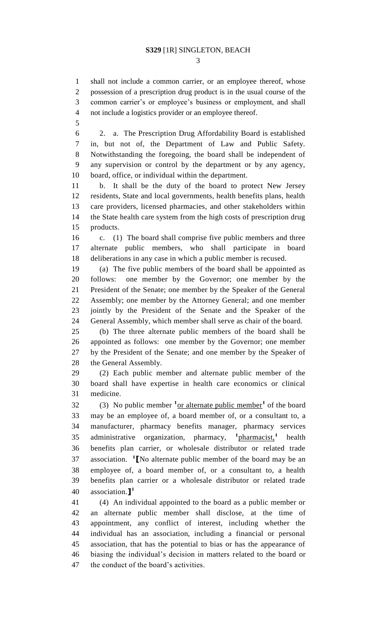shall not include a common carrier, or an employee thereof, whose possession of a prescription drug product is in the usual course of the common carrier's or employee's business or employment, and shall not include a logistics provider or an employee thereof.

 2. a. The Prescription Drug Affordability Board is established in, but not of, the Department of Law and Public Safety. Notwithstanding the foregoing, the board shall be independent of any supervision or control by the department or by any agency, board, office, or individual within the department.

 b. It shall be the duty of the board to protect New Jersey residents, State and local governments, health benefits plans, health care providers, licensed pharmacies, and other stakeholders within the State health care system from the high costs of prescription drug products.

 c. (1) The board shall comprise five public members and three alternate public members, who shall participate in board deliberations in any case in which a public member is recused.

 (a) The five public members of the board shall be appointed as follows: one member by the Governor; one member by the President of the Senate; one member by the Speaker of the General Assembly; one member by the Attorney General; and one member jointly by the President of the Senate and the Speaker of the General Assembly, which member shall serve as chair of the board.

 (b) The three alternate public members of the board shall be appointed as follows: one member by the Governor; one member by the President of the Senate; and one member by the Speaker of the General Assembly.

 (2) Each public member and alternate public member of the board shall have expertise in health care economics or clinical medicine.

32 (3) No public member <sup>1</sup> or alternate public member<sup>1</sup> of the board may be an employee of, a board member of, or a consultant to, a manufacturer, pharmacy benefits manager, pharmacy services 35 administrative organization, pharmacy, <sup>1</sup>pharmacist,<sup>1</sup> health <sup>1</sup>pharmacist,<sup>1</sup> health benefits plan carrier, or wholesale distributor or related trade association. **<sup>1</sup> [**No alternate public member of the board may be an employee of, a board member of, or a consultant to, a health benefits plan carrier or a wholesale distributor or related trade association.**] 1** 

 (4) An individual appointed to the board as a public member or an alternate public member shall disclose, at the time of appointment, any conflict of interest, including whether the individual has an association, including a financial or personal association, that has the potential to bias or has the appearance of biasing the individual's decision in matters related to the board or the conduct of the board's activities.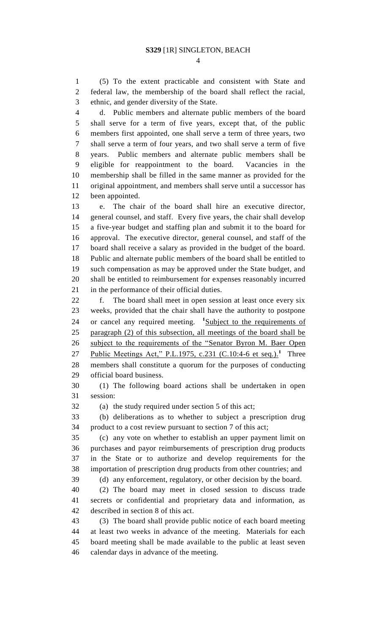(5) To the extent practicable and consistent with State and federal law, the membership of the board shall reflect the racial, ethnic, and gender diversity of the State.

 d. Public members and alternate public members of the board shall serve for a term of five years, except that, of the public members first appointed, one shall serve a term of three years, two shall serve a term of four years, and two shall serve a term of five years. Public members and alternate public members shall be eligible for reappointment to the board. Vacancies in the membership shall be filled in the same manner as provided for the original appointment, and members shall serve until a successor has been appointed.

 e. The chair of the board shall hire an executive director, general counsel, and staff. Every five years, the chair shall develop a five-year budget and staffing plan and submit it to the board for approval. The executive director, general counsel, and staff of the board shall receive a salary as provided in the budget of the board. Public and alternate public members of the board shall be entitled to such compensation as may be approved under the State budget, and shall be entitled to reimbursement for expenses reasonably incurred in the performance of their official duties.

 f. The board shall meet in open session at least once every six weeks, provided that the chair shall have the authority to postpone 24 or cancel any required meeting. <sup>1</sup>Subject to the requirements of paragraph (2) of this subsection, all meetings of the board shall be 26 subject to the requirements of the "Senator Byron M. Baer Open 27 Public Meetings Act," P.L.1975, c.231 (C.10:4-6 et seq.).<sup>1</sup> Three members shall constitute a quorum for the purposes of conducting official board business.

 (1) The following board actions shall be undertaken in open session:

(a) the study required under section 5 of this act;

 (b) deliberations as to whether to subject a prescription drug product to a cost review pursuant to section 7 of this act;

 (c) any vote on whether to establish an upper payment limit on purchases and payor reimbursements of prescription drug products in the State or to authorize and develop requirements for the importation of prescription drug products from other countries; and

(d) any enforcement, regulatory, or other decision by the board.

 (2) The board may meet in closed session to discuss trade secrets or confidential and proprietary data and information, as described in section 8 of this act.

 (3) The board shall provide public notice of each board meeting at least two weeks in advance of the meeting. Materials for each board meeting shall be made available to the public at least seven calendar days in advance of the meeting.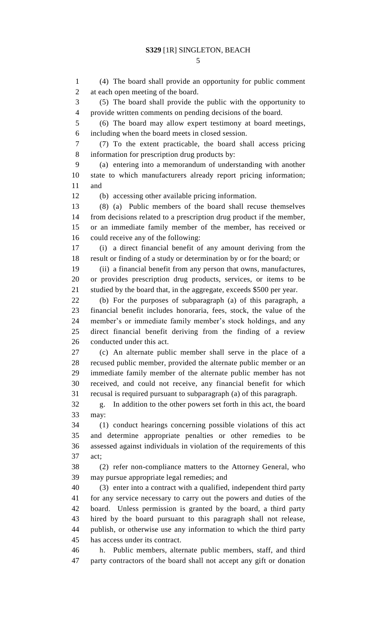(4) The board shall provide an opportunity for public comment at each open meeting of the board. (5) The board shall provide the public with the opportunity to provide written comments on pending decisions of the board. (6) The board may allow expert testimony at board meetings, including when the board meets in closed session. (7) To the extent practicable, the board shall access pricing information for prescription drug products by: (a) entering into a memorandum of understanding with another state to which manufacturers already report pricing information; and (b) accessing other available pricing information. (8) (a) Public members of the board shall recuse themselves from decisions related to a prescription drug product if the member, or an immediate family member of the member, has received or could receive any of the following: (i) a direct financial benefit of any amount deriving from the result or finding of a study or determination by or for the board; or (ii) a financial benefit from any person that owns, manufactures, or provides prescription drug products, services, or items to be studied by the board that, in the aggregate, exceeds \$500 per year. (b) For the purposes of subparagraph (a) of this paragraph, a financial benefit includes honoraria, fees, stock, the value of the member's or immediate family member's stock holdings, and any direct financial benefit deriving from the finding of a review conducted under this act. (c) An alternate public member shall serve in the place of a recused public member, provided the alternate public member or an immediate family member of the alternate public member has not received, and could not receive, any financial benefit for which recusal is required pursuant to subparagraph (a) of this paragraph. g. In addition to the other powers set forth in this act, the board may: (1) conduct hearings concerning possible violations of this act and determine appropriate penalties or other remedies to be assessed against individuals in violation of the requirements of this act; (2) refer non-compliance matters to the Attorney General, who may pursue appropriate legal remedies; and (3) enter into a contract with a qualified, independent third party for any service necessary to carry out the powers and duties of the board. Unless permission is granted by the board, a third party hired by the board pursuant to this paragraph shall not release, publish, or otherwise use any information to which the third party has access under its contract. h. Public members, alternate public members, staff, and third party contractors of the board shall not accept any gift or donation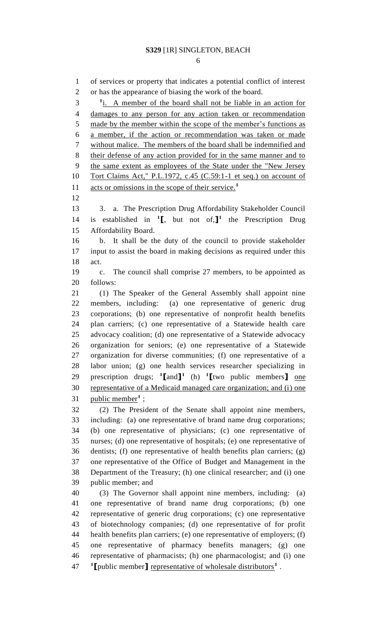of services or property that indicates a potential conflict of interest or has the appearance of biasing the work of the board. i. A member of the board shall not be liable in an action for damages to any person for any action taken or recommendation 5 made by the member within the scope of the member's functions as a member, if the action or recommendation was taken or made without malice. The members of the board shall be indemnified and their defense of any action provided for in the same manner and to the same extent as employees of the State under the "New Jersey 10 Tort Claims Act," P.L.1972, c.45 (C.59:1-1 et seq.) on account of acts or omissions in the scope of their service. **1** 3. a. The Prescription Drug Affordability Stakeholder Council is established in **<sup>1</sup> [**, but not of,**] 1** the Prescription Drug Affordability Board. b. It shall be the duty of the council to provide stakeholder input to assist the board in making decisions as required under this act. c. The council shall comprise 27 members, to be appointed as follows: (1) The Speaker of the General Assembly shall appoint nine members, including: (a) one representative of generic drug corporations; (b) one representative of nonprofit health benefits plan carriers; (c) one representative of a Statewide health care advocacy coalition; (d) one representative of a Statewide advocacy organization for seniors; (e) one representative of a Statewide organization for diverse communities; (f) one representative of a labor union; (g) one health services researcher specializing in prescription drugs; **<sup>1</sup> [**and**] 1** (h) **<sup>1</sup> [**two public members**]** one representative of a Medicaid managed care organization; and (i) one 31 public member<sup>1</sup>; (2) The President of the Senate shall appoint nine members, including: (a) one representative of brand name drug corporations; (b) one representative of physicians; (c) one representative of nurses; (d) one representative of hospitals; (e) one representative of dentists; (f) one representative of health benefits plan carriers; (g) one representative of the Office of Budget and Management in the Department of the Treasury; (h) one clinical researcher; and (i) one public member; and (3) The Governor shall appoint nine members, including: (a) one representative of brand name drug corporations; (b) one representative of generic drug corporations; (c) one representative of biotechnology companies; (d) one representative of for profit health benefits plan carriers; (e) one representative of employers; (f) one representative of pharmacy benefits managers; (g) one representative of pharmacists; (h) one pharmacologist; and (i) one **[**public member**]** representative of wholesale distributors**<sup>1</sup>** .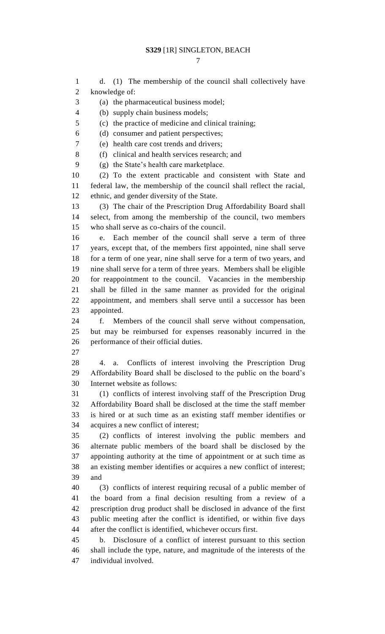d. (1) The membership of the council shall collectively have knowledge of: (a) the pharmaceutical business model; (b) supply chain business models; (c) the practice of medicine and clinical training; (d) consumer and patient perspectives; (e) health care cost trends and drivers; (f) clinical and health services research; and (g) the State's health care marketplace. (2) To the extent practicable and consistent with State and federal law, the membership of the council shall reflect the racial, ethnic, and gender diversity of the State. (3) The chair of the Prescription Drug Affordability Board shall select, from among the membership of the council, two members who shall serve as co-chairs of the council. e. Each member of the council shall serve a term of three years, except that, of the members first appointed, nine shall serve for a term of one year, nine shall serve for a term of two years, and nine shall serve for a term of three years. Members shall be eligible for reappointment to the council. Vacancies in the membership shall be filled in the same manner as provided for the original appointment, and members shall serve until a successor has been appointed. f. Members of the council shall serve without compensation, but may be reimbursed for expenses reasonably incurred in the performance of their official duties. 4. a. Conflicts of interest involving the Prescription Drug Affordability Board shall be disclosed to the public on the board's Internet website as follows: (1) conflicts of interest involving staff of the Prescription Drug Affordability Board shall be disclosed at the time the staff member is hired or at such time as an existing staff member identifies or acquires a new conflict of interest; (2) conflicts of interest involving the public members and alternate public members of the board shall be disclosed by the appointing authority at the time of appointment or at such time as an existing member identifies or acquires a new conflict of interest; and (3) conflicts of interest requiring recusal of a public member of the board from a final decision resulting from a review of a prescription drug product shall be disclosed in advance of the first public meeting after the conflict is identified, or within five days after the conflict is identified, whichever occurs first. b. Disclosure of a conflict of interest pursuant to this section shall include the type, nature, and magnitude of the interests of the individual involved.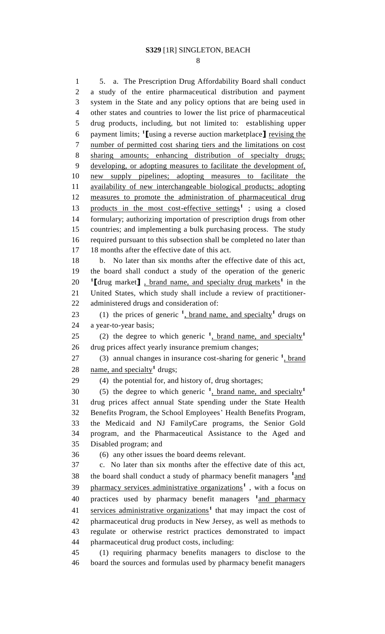5. a. The Prescription Drug Affordability Board shall conduct a study of the entire pharmaceutical distribution and payment system in the State and any policy options that are being used in other states and countries to lower the list price of pharmaceutical drug products, including, but not limited to: establishing upper payment limits; **<sup>1</sup> [**using a reverse auction marketplace**]** revising the number of permitted cost sharing tiers and the limitations on cost sharing amounts; enhancing distribution of specialty drugs; developing, or adopting measures to facilitate the development of, new supply pipelines; adopting measures to facilitate the availability of new interchangeable biological products; adopting measures to promote the administration of pharmaceutical drug 13 products in the most cost-effective settings<sup>1</sup>; using a closed formulary; authorizing importation of prescription drugs from other countries; and implementing a bulk purchasing process. The study required pursuant to this subsection shall be completed no later than 18 months after the effective date of this act. b. No later than six months after the effective date of this act, the board shall conduct a study of the operation of the generic 20 <sup>**1**</sup>[drug market], brand name, and specialty drug markets<sup>1</sup> in the United States, which study shall include a review of practitioner- administered drugs and consideration of: 23 (1) the prices of generic <sup>1</sup>, brand name, and specialty<sup>1</sup> drugs on a year-to-year basis; (2) the degree to which generic **<sup>1</sup>** , brand name, and specialty**<sup>1</sup>** drug prices affect yearly insurance premium changes; 27 (3) annual changes in insurance cost-sharing for generic <sup>1</sup>, brand 28 name, and specialty<sup>1</sup> drugs; (4) the potential for, and history of, drug shortages; (5) the degree to which generic **<sup>1</sup>** , brand name, and specialty**<sup>1</sup>** drug prices affect annual State spending under the State Health Benefits Program, the School Employees' Health Benefits Program, the Medicaid and NJ FamilyCare programs, the Senior Gold program, and the Pharmaceutical Assistance to the Aged and Disabled program; and (6) any other issues the board deems relevant. c. No later than six months after the effective date of this act, 38 the board shall conduct a study of pharmacy benefit managers  $\frac{1 \text{ and}}{2}$ 39 pharmacy services administrative organizations<sup>1</sup>, with a focus on 40 practices used by pharmacy benefit managers <sup>1</sup> and pharmacy 41 services administrative organizations<sup>1</sup> that may impact the cost of pharmaceutical drug products in New Jersey, as well as methods to regulate or otherwise restrict practices demonstrated to impact pharmaceutical drug product costs, including: (1) requiring pharmacy benefits managers to disclose to the board the sources and formulas used by pharmacy benefit managers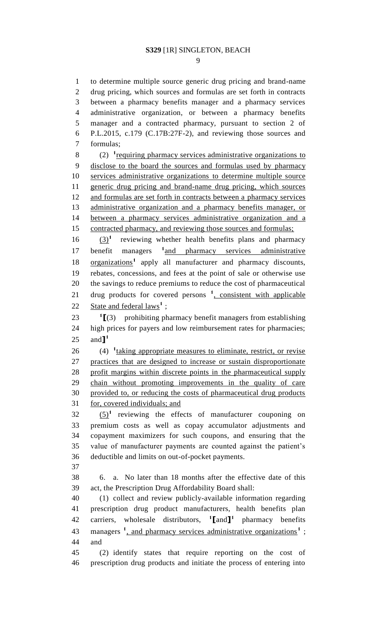to determine multiple source generic drug pricing and brand-name drug pricing, which sources and formulas are set forth in contracts between a pharmacy benefits manager and a pharmacy services administrative organization, or between a pharmacy benefits manager and a contracted pharmacy, pursuant to section 2 of P.L.2015, c.179 (C.17B:27F-2), and reviewing those sources and formulas;

(2) **<sup>1</sup>** requiring pharmacy services administrative organizations to disclose to the board the sources and formulas used by pharmacy services administrative organizations to determine multiple source generic drug pricing and brand-name drug pricing, which sources and formulas are set forth in contracts between a pharmacy services administrative organization and a pharmacy benefits manager, or between a pharmacy services administrative organization and a contracted pharmacy, and reviewing those sources and formulas;

 $(3)^{1}$  $16 \frac{(3)^1}{10}$  reviewing whether health benefits plans and pharmacy benefit managers **<sup>1</sup>** 17 benefit managers <sup>1</sup> and pharmacy services administrative 18 organizations<sup>1</sup> apply all manufacturer and pharmacy discounts, rebates, concessions, and fees at the point of sale or otherwise use the savings to reduce premiums to reduce the cost of pharmaceutical 21 drug products for covered persons <sup>1</sup>, consistent with applicable 22 State and federal laws<sup>1</sup>;

23  $\textbf{I}$   $(3)$  prohibiting pharmacy benefit managers from establishing high prices for payers and low reimbursement rates for pharmacies; and**] 1** 

26 (4) <sup>1</sup> taking appropriate measures to eliminate, restrict, or revise practices that are designed to increase or sustain disproportionate profit margins within discrete points in the pharmaceutical supply chain without promoting improvements in the quality of care provided to, or reducing the costs of pharmaceutical drug products for, covered individuals; and

 $(5)^1$  reviewing the effects of manufacturer couponing on premium costs as well as copay accumulator adjustments and copayment maximizers for such coupons, and ensuring that the value of manufacturer payments are counted against the patient's deductible and limits on out-of-pocket payments.

 6. a. No later than 18 months after the effective date of this act, the Prescription Drug Affordability Board shall:

 (1) collect and review publicly-available information regarding prescription drug product manufacturers, health benefits plan 42 carriers, wholesale distributors, <sup>1</sup>[and]<sup>1</sup> pharmacy benefits **[**and**] 1** 43 managers <sup>1</sup>, and pharmacy services administrative organizations<sup>1</sup>; and

 (2) identify states that require reporting on the cost of prescription drug products and initiate the process of entering into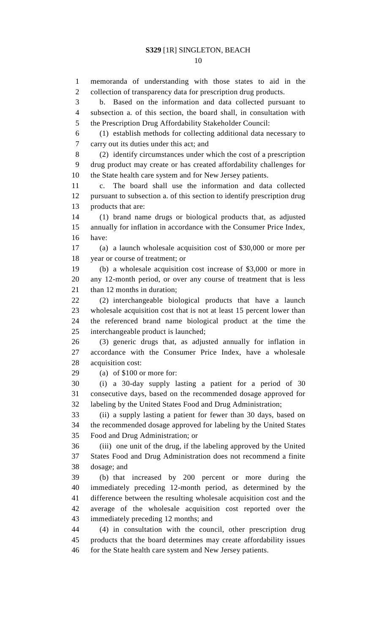memoranda of understanding with those states to aid in the collection of transparency data for prescription drug products. b. Based on the information and data collected pursuant to subsection a. of this section, the board shall, in consultation with the Prescription Drug Affordability Stakeholder Council: (1) establish methods for collecting additional data necessary to carry out its duties under this act; and (2) identify circumstances under which the cost of a prescription drug product may create or has created affordability challenges for the State health care system and for New Jersey patients. c. The board shall use the information and data collected pursuant to subsection a. of this section to identify prescription drug products that are: (1) brand name drugs or biological products that, as adjusted annually for inflation in accordance with the Consumer Price Index, have: (a) a launch wholesale acquisition cost of \$30,000 or more per year or course of treatment; or (b) a wholesale acquisition cost increase of \$3,000 or more in any 12-month period, or over any course of treatment that is less 21 than 12 months in duration; (2) interchangeable biological products that have a launch wholesale acquisition cost that is not at least 15 percent lower than the referenced brand name biological product at the time the interchangeable product is launched; (3) generic drugs that, as adjusted annually for inflation in accordance with the Consumer Price Index, have a wholesale acquisition cost: (a) of \$100 or more for: (i) a 30-day supply lasting a patient for a period of 30 consecutive days, based on the recommended dosage approved for labeling by the United States Food and Drug Administration; (ii) a supply lasting a patient for fewer than 30 days, based on the recommended dosage approved for labeling by the United States Food and Drug Administration; or (iii) one unit of the drug, if the labeling approved by the United States Food and Drug Administration does not recommend a finite dosage; and (b) that increased by 200 percent or more during the immediately preceding 12-month period, as determined by the difference between the resulting wholesale acquisition cost and the average of the wholesale acquisition cost reported over the immediately preceding 12 months; and (4) in consultation with the council, other prescription drug products that the board determines may create affordability issues 46 for the State health care system and New Jersey patients.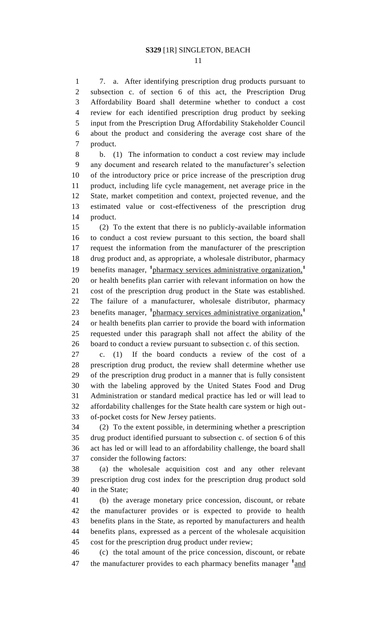7. a. After identifying prescription drug products pursuant to subsection c. of section 6 of this act, the Prescription Drug Affordability Board shall determine whether to conduct a cost review for each identified prescription drug product by seeking input from the Prescription Drug Affordability Stakeholder Council about the product and considering the average cost share of the product.

 b. (1) The information to conduct a cost review may include any document and research related to the manufacturer's selection of the introductory price or price increase of the prescription drug product, including life cycle management, net average price in the State, market competition and context, projected revenue, and the estimated value or cost-effectiveness of the prescription drug product.

 (2) To the extent that there is no publicly-available information to conduct a cost review pursuant to this section, the board shall request the information from the manufacturer of the prescription drug product and, as appropriate, a wholesale distributor, pharmacy benefits manager, **<sup>1</sup>** pharmacy services administrative organization,**<sup>1</sup>** or health benefits plan carrier with relevant information on how the cost of the prescription drug product in the State was established. The failure of a manufacturer, wholesale distributor, pharmacy benefits manager, **<sup>1</sup>** pharmacy services administrative organization,**<sup>1</sup>** or health benefits plan carrier to provide the board with information requested under this paragraph shall not affect the ability of the board to conduct a review pursuant to subsection c. of this section.

 c. (1) If the board conducts a review of the cost of a prescription drug product, the review shall determine whether use of the prescription drug product in a manner that is fully consistent with the labeling approved by the United States Food and Drug Administration or standard medical practice has led or will lead to affordability challenges for the State health care system or high out-of-pocket costs for New Jersey patients.

 (2) To the extent possible, in determining whether a prescription drug product identified pursuant to subsection c. of section 6 of this act has led or will lead to an affordability challenge, the board shall consider the following factors:

 (a) the wholesale acquisition cost and any other relevant prescription drug cost index for the prescription drug product sold in the State;

 (b) the average monetary price concession, discount, or rebate the manufacturer provides or is expected to provide to health benefits plans in the State, as reported by manufacturers and health benefits plans, expressed as a percent of the wholesale acquisition cost for the prescription drug product under review;

 (c) the total amount of the price concession, discount, or rebate 47 the manufacturer provides to each pharmacy benefits manager <sup>1</sup> and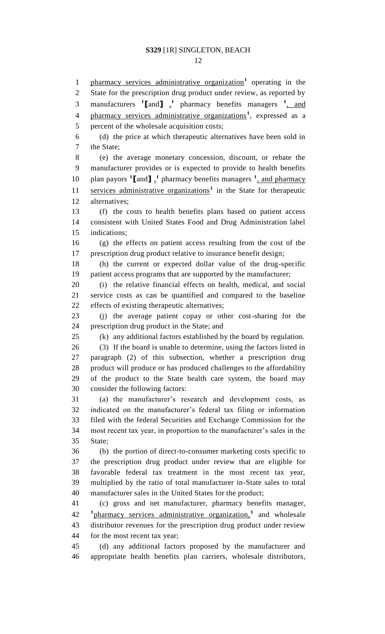1 pharmacy services administrative organization<sup>1</sup> operating in the 2 State for the prescription drug product under review, as reported by 3 manufacturers  $\binom{1}{1}$  and  $\binom{1}{2}$  pharmacy benefits managers  $\binom{1}{2}$  and 4 pharmacy services administrative organizations<sup>1</sup>, expressed as a percent of the wholesale acquisition costs; (d) the price at which therapeutic alternatives have been sold in the State; (e) the average monetary concession, discount, or rebate the manufacturer provides or is expected to provide to health benefits 10 plan payors **1** [and ] , **1** pharmacy benefits managers **1**, and pharmacy 11 services administrative organizations<sup>1</sup> in the State for therapeutic alternatives; (f) the costs to health benefits plans based on patient access consistent with United States Food and Drug Administration label indications; (g) the effects on patient access resulting from the cost of the prescription drug product relative to insurance benefit design; (h) the current or expected dollar value of the drug-specific patient access programs that are supported by the manufacturer; (i) the relative financial effects on health, medical, and social service costs as can be quantified and compared to the baseline effects of existing therapeutic alternatives; (j) the average patient copay or other cost-sharing for the prescription drug product in the State; and (k) any additional factors established by the board by regulation. (3) If the board is unable to determine, using the factors listed in paragraph (2) of this subsection, whether a prescription drug product will produce or has produced challenges to the affordability of the product to the State health care system, the board may consider the following factors: (a) the manufacturer's research and development costs, as indicated on the manufacturer's federal tax filing or information filed with the federal Securities and Exchange Commission for the most recent tax year, in proportion to the manufacturer's sales in the State; (b) the portion of direct-to-consumer marketing costs specific to the prescription drug product under review that are eligible for favorable federal tax treatment in the most recent tax year, multiplied by the ratio of total manufacturer in-State sales to total manufacturer sales in the United States for the product; (c) gross and net manufacturer, pharmacy benefits manager, pharmacy services administrative organization,**<sup>1</sup>** and wholesale distributor revenues for the prescription drug product under review for the most recent tax year; (d) any additional factors proposed by the manufacturer and appropriate health benefits plan carriers, wholesale distributors,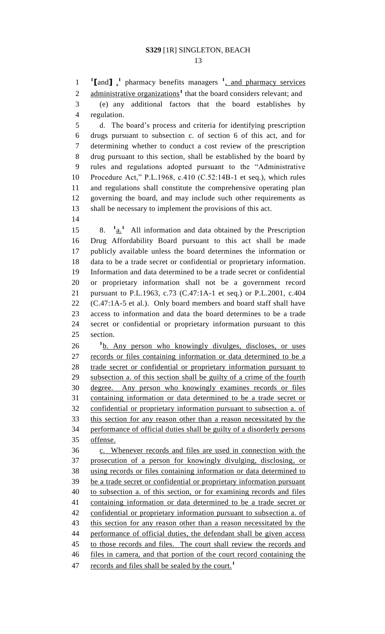**i** [and]  $\frac{1}{2}$  pharmacy benefits managers <sup>1</sup>, and pharmacy services 2 administrative organizations<sup>1</sup> that the board considers relevant; and (e) any additional factors that the board establishes by regulation. d. The board's process and criteria for identifying prescription drugs pursuant to subsection c. of section 6 of this act, and for

 determining whether to conduct a cost review of the prescription drug pursuant to this section, shall be established by the board by rules and regulations adopted pursuant to the "Administrative Procedure Act," P.L.1968, c.410 (C.52:14B-1 et seq.), which rules and regulations shall constitute the comprehensive operating plan governing the board, and may include such other requirements as shall be necessary to implement the provisions of this act.

8. **<sup>1</sup>** 15 8.  $1a^{1}$  All information and data obtained by the Prescription Drug Affordability Board pursuant to this act shall be made publicly available unless the board determines the information or data to be a trade secret or confidential or proprietary information. Information and data determined to be a trade secret or confidential or proprietary information shall not be a government record pursuant to P.L.1963, c.73 (C.47:1A-1 et seq.) or P.L.2001, c.404 (C.47:1A-5 et al.). Only board members and board staff shall have access to information and data the board determines to be a trade secret or confidential or proprietary information pursuant to this section.

26 <sup>1</sup>b. Any person who knowingly divulges, discloses, or uses records or files containing information or data determined to be a trade secret or confidential or proprietary information pursuant to subsection a. of this section shall be guilty of a crime of the fourth degree. Any person who knowingly examines records or files containing information or data determined to be a trade secret or confidential or proprietary information pursuant to subsection a. of this section for any reason other than a reason necessitated by the performance of official duties shall be guilty of a disorderly persons offense.

 c. Whenever records and files are used in connection with the prosecution of a person for knowingly divulging, disclosing, or using records or files containing information or data determined to be a trade secret or confidential or proprietary information pursuant to subsection a. of this section, or for examining records and files containing information or data determined to be a trade secret or confidential or proprietary information pursuant to subsection a. of 43 this section for any reason other than a reason necessitated by the 44 performance of official duties, the defendant shall be given access to those records and files. The court shall review the records and files in camera, and that portion of the court record containing the records and files shall be sealed by the court.**<sup>1</sup>**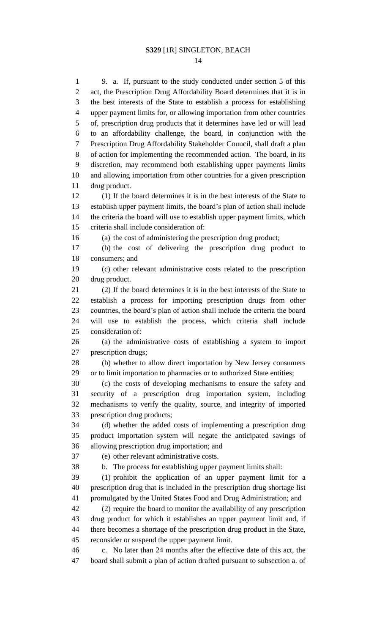9. a. If, pursuant to the study conducted under section 5 of this act, the Prescription Drug Affordability Board determines that it is in the best interests of the State to establish a process for establishing upper payment limits for, or allowing importation from other countries of, prescription drug products that it determines have led or will lead to an affordability challenge, the board, in conjunction with the Prescription Drug Affordability Stakeholder Council, shall draft a plan of action for implementing the recommended action. The board, in its discretion, may recommend both establishing upper payments limits and allowing importation from other countries for a given prescription drug product. (1) If the board determines it is in the best interests of the State to establish upper payment limits, the board's plan of action shall include the criteria the board will use to establish upper payment limits, which criteria shall include consideration of: (a) the cost of administering the prescription drug product; (b) the cost of delivering the prescription drug product to consumers; and (c) other relevant administrative costs related to the prescription drug product. (2) If the board determines it is in the best interests of the State to establish a process for importing prescription drugs from other countries, the board's plan of action shall include the criteria the board will use to establish the process, which criteria shall include consideration of: (a) the administrative costs of establishing a system to import prescription drugs; (b) whether to allow direct importation by New Jersey consumers or to limit importation to pharmacies or to authorized State entities; (c) the costs of developing mechanisms to ensure the safety and security of a prescription drug importation system, including mechanisms to verify the quality, source, and integrity of imported prescription drug products; (d) whether the added costs of implementing a prescription drug product importation system will negate the anticipated savings of allowing prescription drug importation; and (e) other relevant administrative costs. b. The process for establishing upper payment limits shall: (1) prohibit the application of an upper payment limit for a prescription drug that is included in the prescription drug shortage list promulgated by the United States Food and Drug Administration; and (2) require the board to monitor the availability of any prescription drug product for which it establishes an upper payment limit and, if there becomes a shortage of the prescription drug product in the State, reconsider or suspend the upper payment limit. c. No later than 24 months after the effective date of this act, the board shall submit a plan of action drafted pursuant to subsection a. of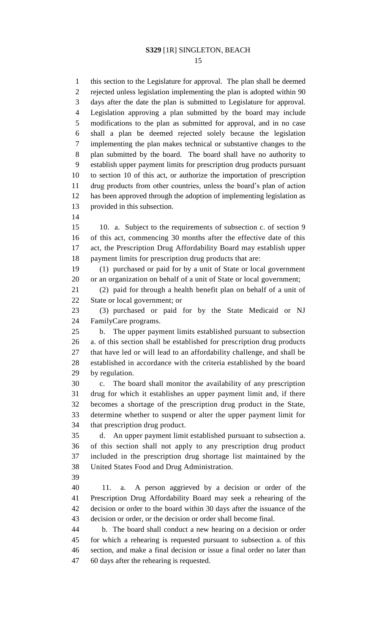this section to the Legislature for approval. The plan shall be deemed rejected unless legislation implementing the plan is adopted within 90 days after the date the plan is submitted to Legislature for approval. Legislation approving a plan submitted by the board may include modifications to the plan as submitted for approval, and in no case shall a plan be deemed rejected solely because the legislation implementing the plan makes technical or substantive changes to the plan submitted by the board. The board shall have no authority to establish upper payment limits for prescription drug products pursuant to section 10 of this act, or authorize the importation of prescription drug products from other countries, unless the board's plan of action has been approved through the adoption of implementing legislation as provided in this subsection. 10. a. Subject to the requirements of subsection c. of section 9 of this act, commencing 30 months after the effective date of this act, the Prescription Drug Affordability Board may establish upper payment limits for prescription drug products that are: (1) purchased or paid for by a unit of State or local government or an organization on behalf of a unit of State or local government; (2) paid for through a health benefit plan on behalf of a unit of State or local government; or (3) purchased or paid for by the State Medicaid or NJ FamilyCare programs. b. The upper payment limits established pursuant to subsection a. of this section shall be established for prescription drug products that have led or will lead to an affordability challenge, and shall be established in accordance with the criteria established by the board by regulation. c. The board shall monitor the availability of any prescription drug for which it establishes an upper payment limit and, if there becomes a shortage of the prescription drug product in the State, determine whether to suspend or alter the upper payment limit for that prescription drug product. d. An upper payment limit established pursuant to subsection a. of this section shall not apply to any prescription drug product included in the prescription drug shortage list maintained by the United States Food and Drug Administration. 11. a. A person aggrieved by a decision or order of the Prescription Drug Affordability Board may seek a rehearing of the decision or order to the board within 30 days after the issuance of the decision or order, or the decision or order shall become final. b. The board shall conduct a new hearing on a decision or order for which a rehearing is requested pursuant to subsection a. of this section, and make a final decision or issue a final order no later than 60 days after the rehearing is requested.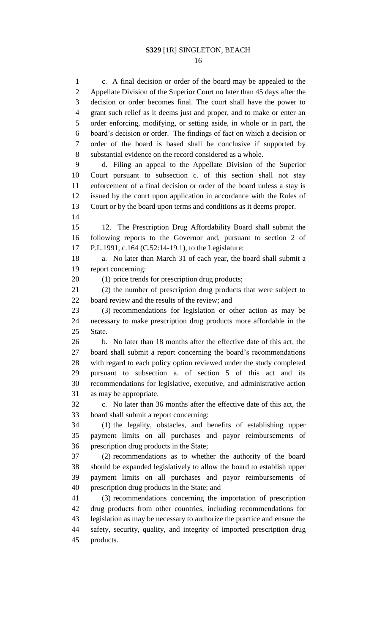c. A final decision or order of the board may be appealed to the 2 Appellate Division of the Superior Court no later than 45 days after the decision or order becomes final. The court shall have the power to grant such relief as it deems just and proper, and to make or enter an order enforcing, modifying, or setting aside, in whole or in part, the board's decision or order. The findings of fact on which a decision or order of the board is based shall be conclusive if supported by substantial evidence on the record considered as a whole. d. Filing an appeal to the Appellate Division of the Superior Court pursuant to subsection c. of this section shall not stay enforcement of a final decision or order of the board unless a stay is issued by the court upon application in accordance with the Rules of Court or by the board upon terms and conditions as it deems proper. 12. The Prescription Drug Affordability Board shall submit the following reports to the Governor and, pursuant to section 2 of P.L.1991, c.164 (C.52:14-19.1), to the Legislature: a. No later than March 31 of each year, the board shall submit a report concerning: (1) price trends for prescription drug products; (2) the number of prescription drug products that were subject to board review and the results of the review; and (3) recommendations for legislation or other action as may be necessary to make prescription drug products more affordable in the State. b. No later than 18 months after the effective date of this act, the board shall submit a report concerning the board's recommendations with regard to each policy option reviewed under the study completed pursuant to subsection a. of section 5 of this act and its recommendations for legislative, executive, and administrative action as may be appropriate. c. No later than 36 months after the effective date of this act, the board shall submit a report concerning: (1) the legality, obstacles, and benefits of establishing upper payment limits on all purchases and payor reimbursements of prescription drug products in the State; (2) recommendations as to whether the authority of the board should be expanded legislatively to allow the board to establish upper payment limits on all purchases and payor reimbursements of prescription drug products in the State; and (3) recommendations concerning the importation of prescription drug products from other countries, including recommendations for legislation as may be necessary to authorize the practice and ensure the safety, security, quality, and integrity of imported prescription drug products.